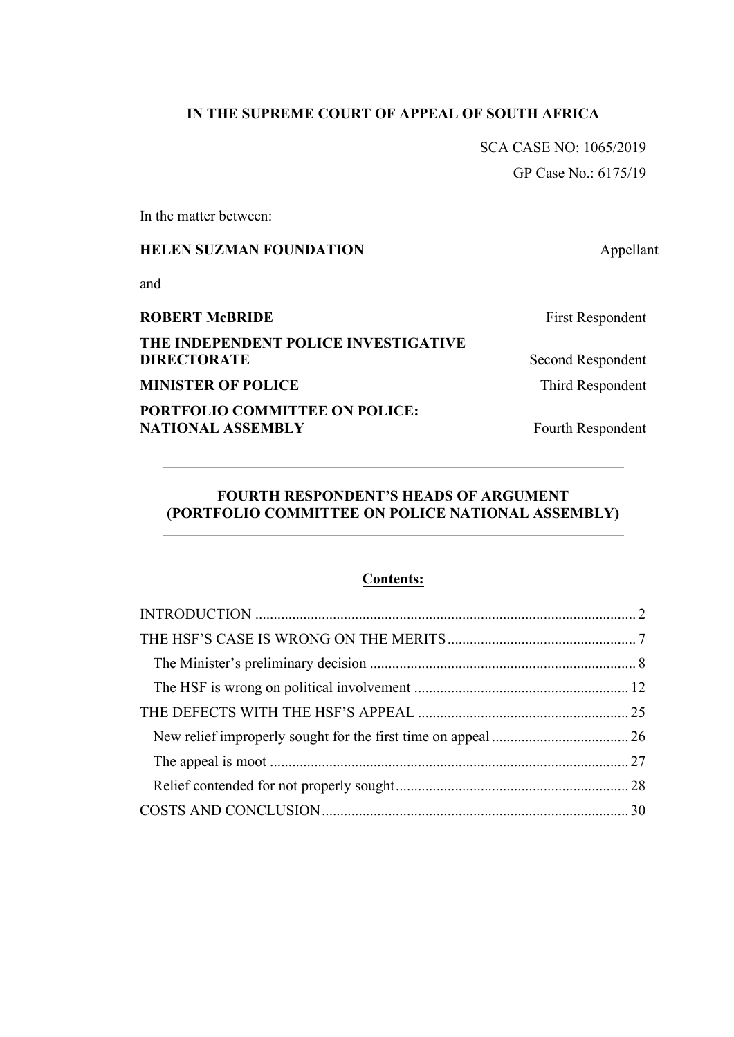# **IN THE SUPREME COURT OF APPEAL OF SOUTH AFRICA**

SCA CASE NO: 1065/2019 GP Case No.: 6175/19

In the matter between:

# **HELEN SUZMAN FOUNDATION** Appellant

and

| <b>ROBERT McBRIDE</b>                                      | <b>First Respondent</b> |
|------------------------------------------------------------|-------------------------|
| THE INDEPENDENT POLICE INVESTIGATIVE                       |                         |
| <b>DIRECTORATE</b>                                         | Second Respondent       |
| <b>MINISTER OF POLICE</b>                                  | Third Respondent        |
| PORTFOLIO COMMITTEE ON POLICE:<br><b>NATIONAL ASSEMBLY</b> | Fourth Respondent       |

# **FOURTH RESPONDENT'S HEADS OF ARGUMENT (PORTFOLIO COMMITTEE ON POLICE NATIONAL ASSEMBLY)**

## **Contents:**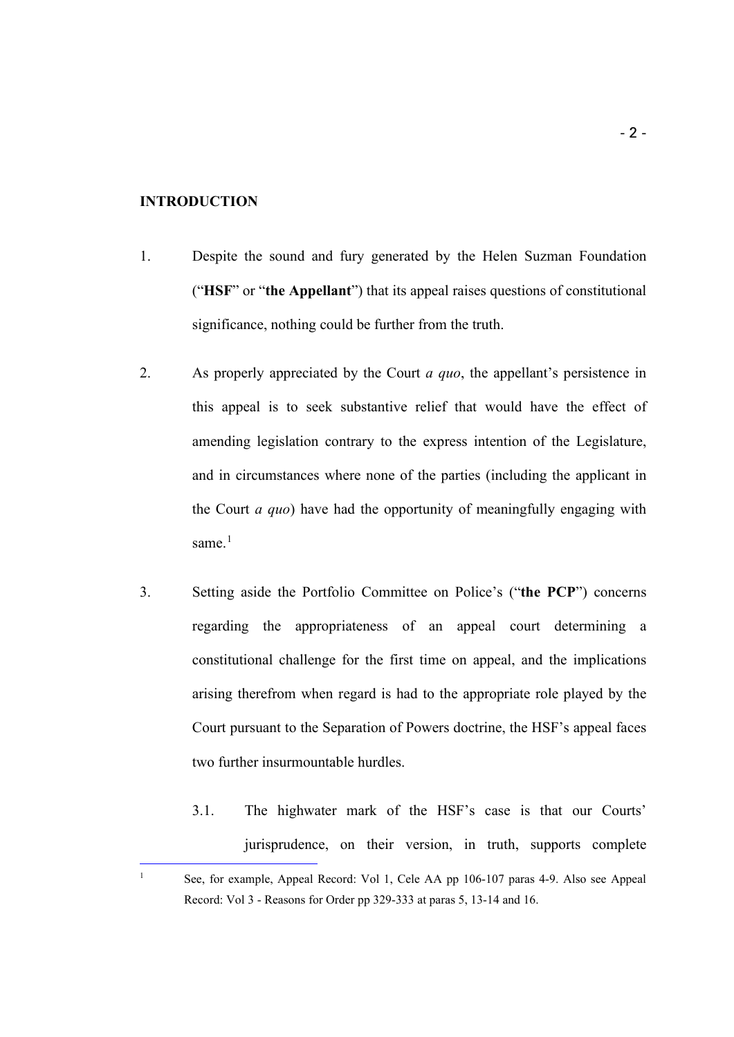#### <span id="page-1-0"></span>**INTRODUCTION**

- 1. Despite the sound and fury generated by the Helen Suzman Foundation ("**HSF**" or "**the Appellant**") that its appeal raises questions of constitutional significance, nothing could be further from the truth.
- 2. As properly appreciated by the Court *a quo*, the appellant's persistence in this appeal is to seek substantive relief that would have the effect of amending legislation contrary to the express intention of the Legislature, and in circumstances where none of the parties (including the applicant in the Court *a quo*) have had the opportunity of meaningfully engaging with same. $<sup>1</sup>$  $<sup>1</sup>$  $<sup>1</sup>$ </sup>
- 3. Setting aside the Portfolio Committee on Police's ("**the PCP**") concerns regarding the appropriateness of an appeal court determining a constitutional challenge for the first time on appeal, and the implications arising therefrom when regard is had to the appropriate role played by the Court pursuant to the Separation of Powers doctrine, the HSF's appeal faces two further insurmountable hurdles.
	- 3.1. The highwater mark of the HSF's case is that our Courts' jurisprudence, on their version, in truth, supports complete i,

<span id="page-1-1"></span><sup>&</sup>lt;sup>1</sup> See, for example, Appeal Record: Vol 1, Cele AA pp 106-107 paras 4-9. Also see Appeal Record: Vol 3 - Reasons for Order pp 329-333 at paras 5, 13-14 and 16.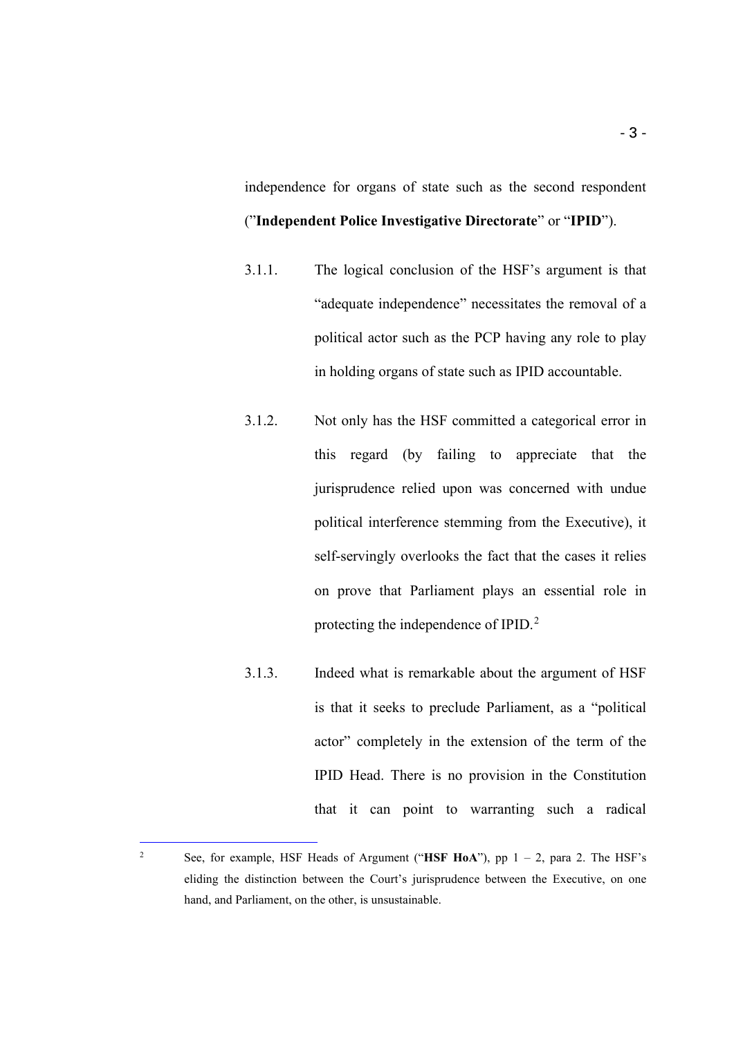independence for organs of state such as the second respondent ("**Independent Police Investigative Directorate**" or "**IPID**").

- 3.1.1. The logical conclusion of the HSF's argument is that "adequate independence" necessitates the removal of a political actor such as the PCP having any role to play in holding organs of state such as IPID accountable.
- 3.1.2. Not only has the HSF committed a categorical error in this regard (by failing to appreciate that the jurisprudence relied upon was concerned with undue political interference stemming from the Executive), it self-servingly overlooks the fact that the cases it relies on prove that Parliament plays an essential role in protecting the independence of IPID.<sup>[2](#page-2-0)</sup>
- 3.1.3. Indeed what is remarkable about the argument of HSF is that it seeks to preclude Parliament, as a "political actor" completely in the extension of the term of the IPID Head. There is no provision in the Constitution that it can point to warranting such a radical

<span id="page-2-0"></span><sup>&</sup>lt;sup>2</sup> See, for example, HSF Heads of Argument ("HSF HoA"), pp  $1 - 2$ , para 2. The HSF's eliding the distinction between the Court's jurisprudence between the Executive, on one hand, and Parliament, on the other, is unsustainable.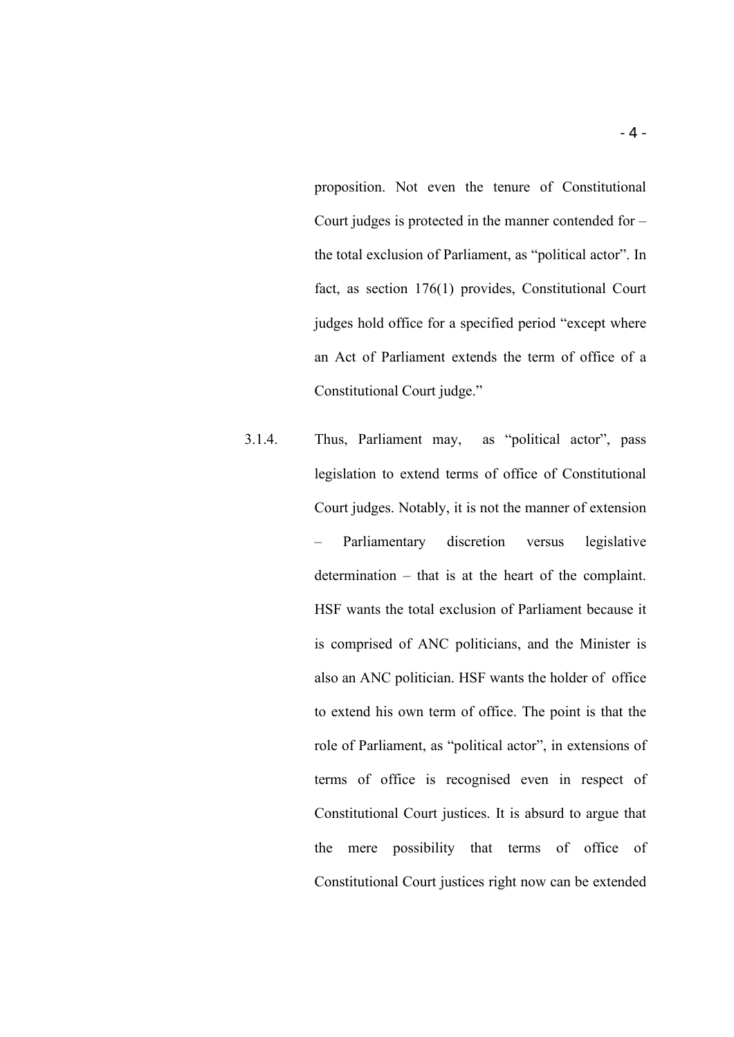proposition. Not even the tenure of Constitutional Court judges is protected in the manner contended for – the total exclusion of Parliament, as "political actor". In fact, as section 176(1) provides, Constitutional Court judges hold office for a specified period "except where an Act of Parliament extends the term of office of a Constitutional Court judge."

3.1.4. Thus, Parliament may, as "political actor", pass legislation to extend terms of office of Constitutional Court judges. Notably, it is not the manner of extension – Parliamentary discretion versus legislative determination – that is at the heart of the complaint. HSF wants the total exclusion of Parliament because it is comprised of ANC politicians, and the Minister is also an ANC politician. HSF wants the holder of office to extend his own term of office. The point is that the role of Parliament, as "political actor", in extensions of terms of office is recognised even in respect of Constitutional Court justices. It is absurd to argue that the mere possibility that terms of office of Constitutional Court justices right now can be extended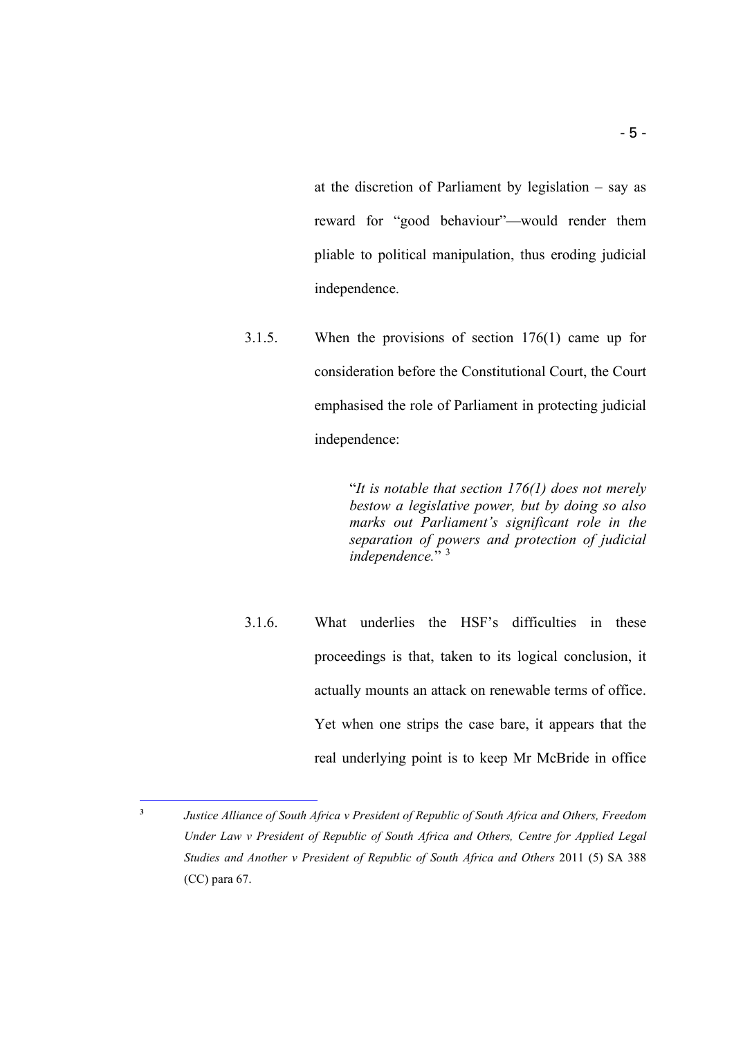at the discretion of Parliament by legislation – say as reward for "good behaviour"—would render them pliable to political manipulation, thus eroding judicial independence.

3.1.5. When the provisions of section 176(1) came up for consideration before the Constitutional Court, the Court emphasised the role of Parliament in protecting judicial independence:

> "*It is notable that section 176(1) does not merely bestow a legislative power, but by doing so also marks out Parliament's significant role in the separation of powers and protection of judicial independence.*" [3](#page-4-0)

3.1.6. What underlies the HSF's difficulties in these proceedings is that, taken to its logical conclusion, it actually mounts an attack on renewable terms of office. Yet when one strips the case bare, it appears that the real underlying point is to keep Mr McBride in office

<span id="page-4-0"></span>**<sup>3</sup>** *Justice Alliance of South Africa v President of Republic of South Africa and Others, Freedom Under Law v President of Republic of South Africa and Others, Centre for Applied Legal Studies and Another v President of Republic of South Africa and Others* 2011 (5) SA 388 (CC) para 67.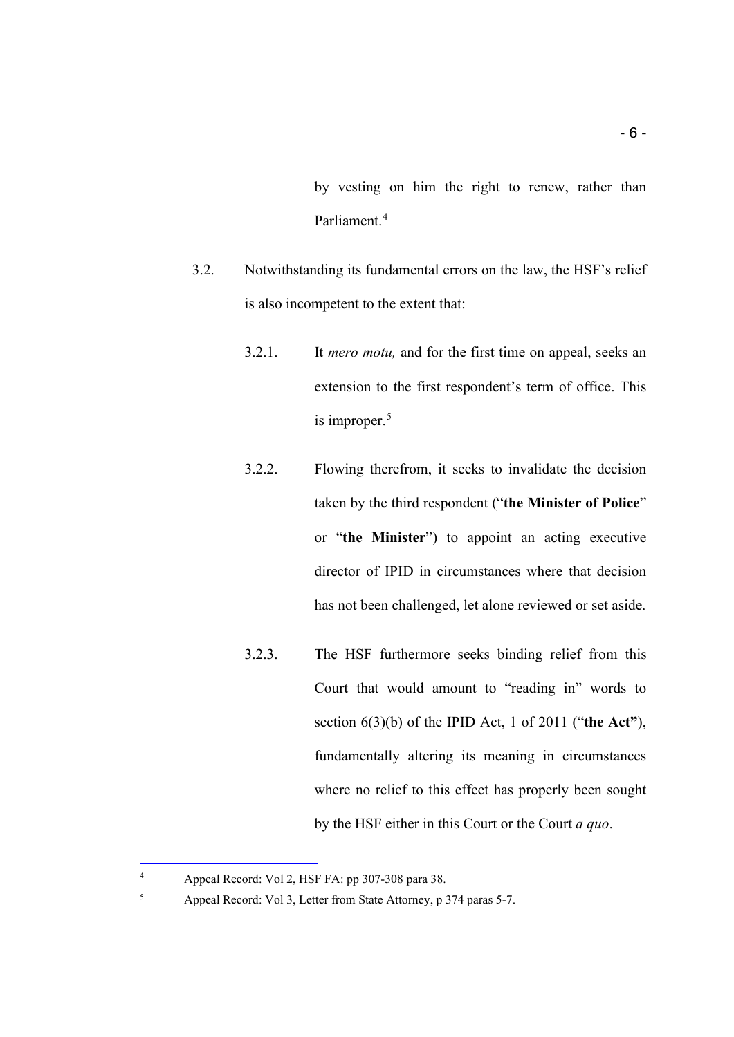by vesting on him the right to renew, rather than Parliament. [4](#page-5-0)

- 3.2. Notwithstanding its fundamental errors on the law, the HSF's relief is also incompetent to the extent that:
	- 3.2.1. It *mero motu,* and for the first time on appeal, seeks an extension to the first respondent's term of office. This is improper.<sup>[5](#page-5-1)</sup>
	- 3.2.2. Flowing therefrom, it seeks to invalidate the decision taken by the third respondent ("**the Minister of Police**" or "**the Minister**") to appoint an acting executive director of IPID in circumstances where that decision has not been challenged, let alone reviewed or set aside.
	- 3.2.3. The HSF furthermore seeks binding relief from this Court that would amount to "reading in" words to section 6(3)(b) of the IPID Act, 1 of 2011 ("**the Act"**), fundamentally altering its meaning in circumstances where no relief to this effect has properly been sought by the HSF either in this Court or the Court *a quo*.

<span id="page-5-0"></span><sup>4</sup> Appeal Record: Vol 2, HSF FA: pp 307-308 para 38.

<span id="page-5-1"></span><sup>5</sup> Appeal Record: Vol 3, Letter from State Attorney, p 374 paras 5-7.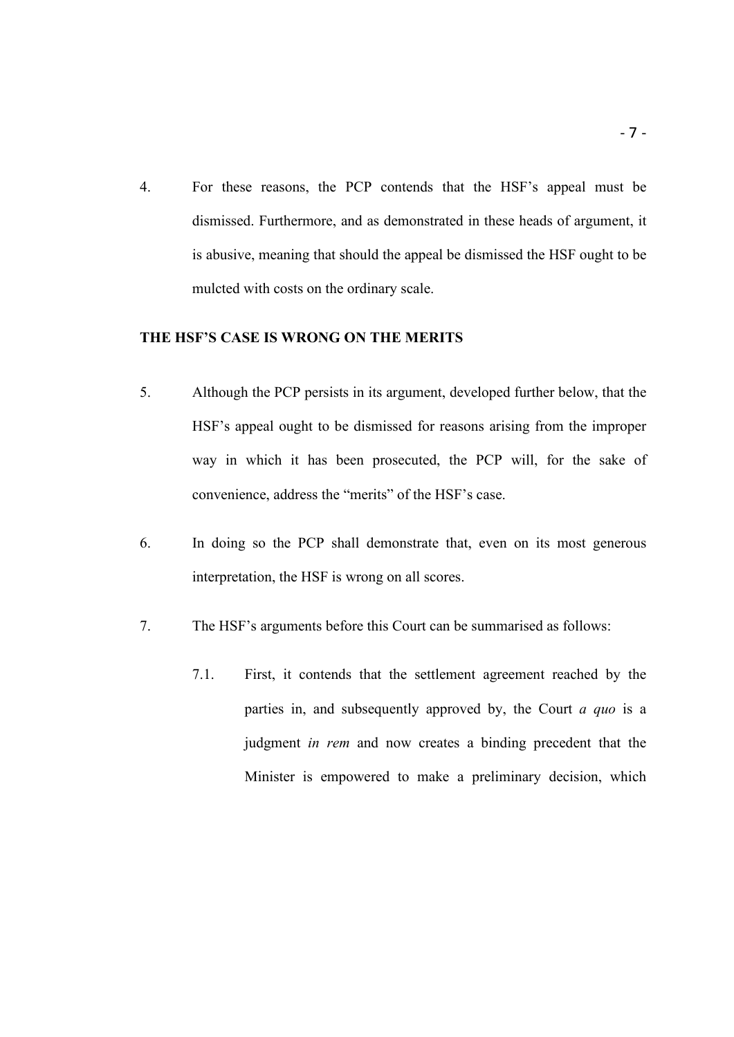4. For these reasons, the PCP contends that the HSF's appeal must be dismissed. Furthermore, and as demonstrated in these heads of argument, it is abusive, meaning that should the appeal be dismissed the HSF ought to be mulcted with costs on the ordinary scale.

## <span id="page-6-0"></span>**THE HSF'S CASE IS WRONG ON THE MERITS**

- 5. Although the PCP persists in its argument, developed further below, that the HSF's appeal ought to be dismissed for reasons arising from the improper way in which it has been prosecuted, the PCP will, for the sake of convenience, address the "merits" of the HSF's case.
- 6. In doing so the PCP shall demonstrate that, even on its most generous interpretation, the HSF is wrong on all scores.
- 7. The HSF's arguments before this Court can be summarised as follows:
	- 7.1. First, it contends that the settlement agreement reached by the parties in, and subsequently approved by, the Court *a quo* is a judgment *in rem* and now creates a binding precedent that the Minister is empowered to make a preliminary decision, which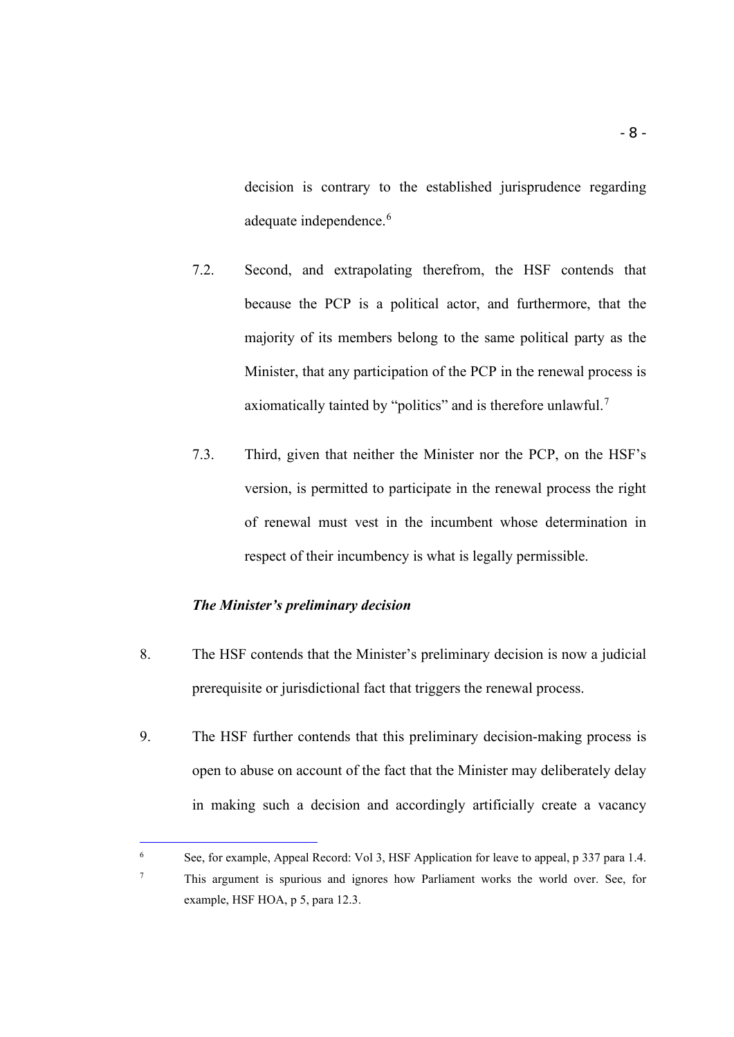decision is contrary to the established jurisprudence regarding adequate independence.<sup>[6](#page-7-1)</sup>

- 7.2. Second, and extrapolating therefrom, the HSF contends that because the PCP is a political actor, and furthermore, that the majority of its members belong to the same political party as the Minister, that any participation of the PCP in the renewal process is axiomatically tainted by "politics" and is therefore unlawful.<sup>[7](#page-7-2)</sup>
- 7.3. Third, given that neither the Minister nor the PCP, on the HSF's version, is permitted to participate in the renewal process the right of renewal must vest in the incumbent whose determination in respect of their incumbency is what is legally permissible.

#### *The Minister's preliminary decision*

- <span id="page-7-0"></span>8. The HSF contends that the Minister's preliminary decision is now a judicial prerequisite or jurisdictional fact that triggers the renewal process.
- 9. The HSF further contends that this preliminary decision-making process is open to abuse on account of the fact that the Minister may deliberately delay in making such a decision and accordingly artificially create a vacancy

<span id="page-7-2"></span><span id="page-7-1"></span><sup>6</sup> See, for example, Appeal Record: Vol 3, HSF Application for leave to appeal, p 337 para 1.4. <sup>7</sup> This argument is spurious and ignores how Parliament works the world over. See, for example, HSF HOA, p 5, para 12.3.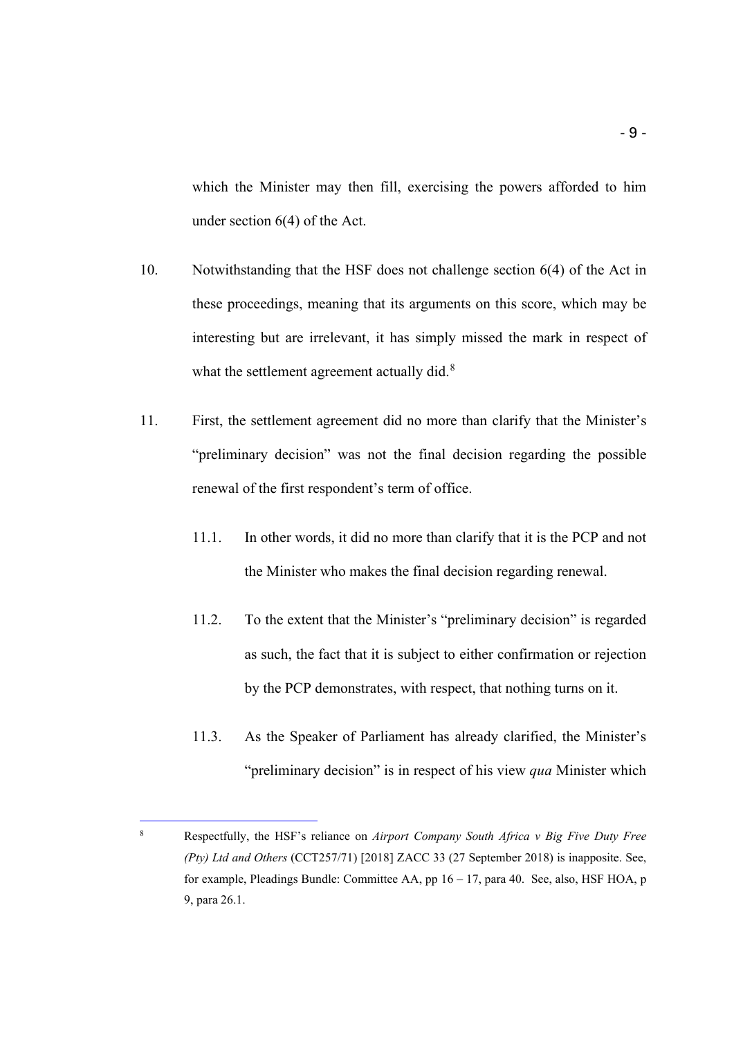which the Minister may then fill, exercising the powers afforded to him under section 6(4) of the Act.

- 10. Notwithstanding that the HSF does not challenge section 6(4) of the Act in these proceedings, meaning that its arguments on this score, which may be interesting but are irrelevant, it has simply missed the mark in respect of what the settlement agreement actually did.<sup>[8](#page-8-0)</sup>
- 11. First, the settlement agreement did no more than clarify that the Minister's "preliminary decision" was not the final decision regarding the possible renewal of the first respondent's term of office.
	- 11.1. In other words, it did no more than clarify that it is the PCP and not the Minister who makes the final decision regarding renewal.
	- 11.2. To the extent that the Minister's "preliminary decision" is regarded as such, the fact that it is subject to either confirmation or rejection by the PCP demonstrates, with respect, that nothing turns on it.
	- 11.3. As the Speaker of Parliament has already clarified, the Minister's "preliminary decision" is in respect of his view *qua* Minister which

<span id="page-8-0"></span><sup>8</sup> Respectfully, the HSF's reliance on *Airport Company South Africa v Big Five Duty Free (Pty) Ltd and Others* (CCT257/71) [2018] ZACC 33 (27 September 2018) is inapposite. See, for example, Pleadings Bundle: Committee AA, pp  $16 - 17$ , para 40. See, also, HSF HOA, p 9, para 26.1.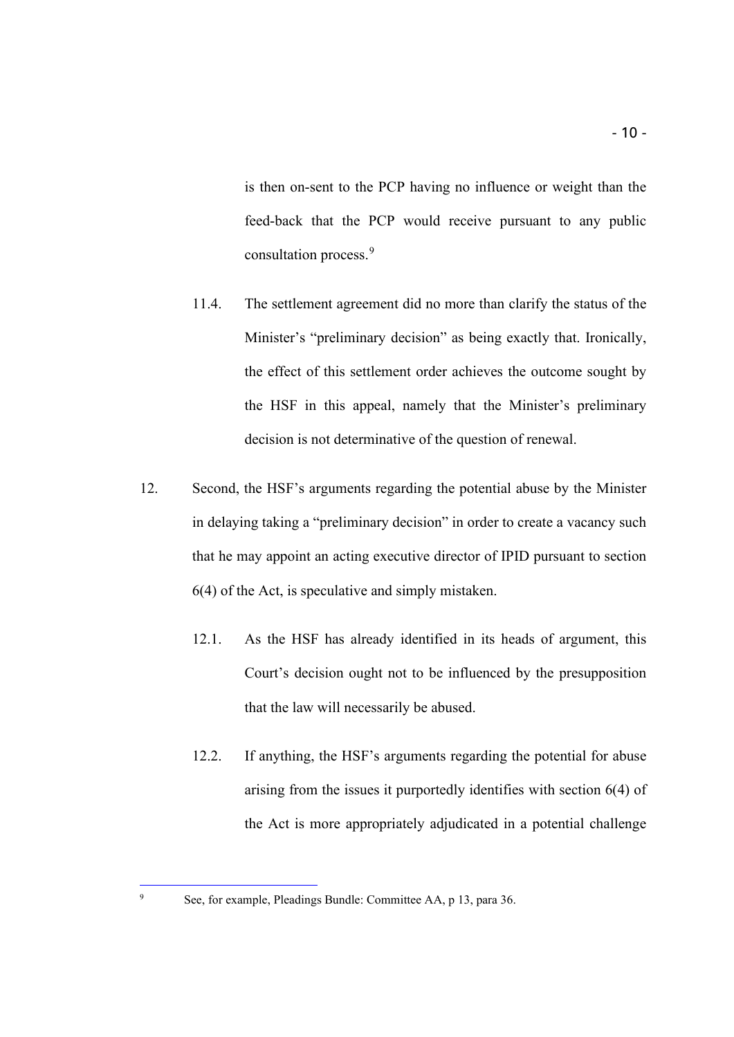is then on-sent to the PCP having no influence or weight than the feed-back that the PCP would receive pursuant to any public consultation process. [9](#page-9-0)

- 11.4. The settlement agreement did no more than clarify the status of the Minister's "preliminary decision" as being exactly that. Ironically, the effect of this settlement order achieves the outcome sought by the HSF in this appeal, namely that the Minister's preliminary decision is not determinative of the question of renewal.
- 12. Second, the HSF's arguments regarding the potential abuse by the Minister in delaying taking a "preliminary decision" in order to create a vacancy such that he may appoint an acting executive director of IPID pursuant to section 6(4) of the Act, is speculative and simply mistaken.
	- 12.1. As the HSF has already identified in its heads of argument, this Court's decision ought not to be influenced by the presupposition that the law will necessarily be abused.
	- 12.2. If anything, the HSF's arguments regarding the potential for abuse arising from the issues it purportedly identifies with section 6(4) of the Act is more appropriately adjudicated in a potential challenge

<span id="page-9-0"></span><sup>9</sup> See, for example, Pleadings Bundle: Committee AA, p 13, para 36.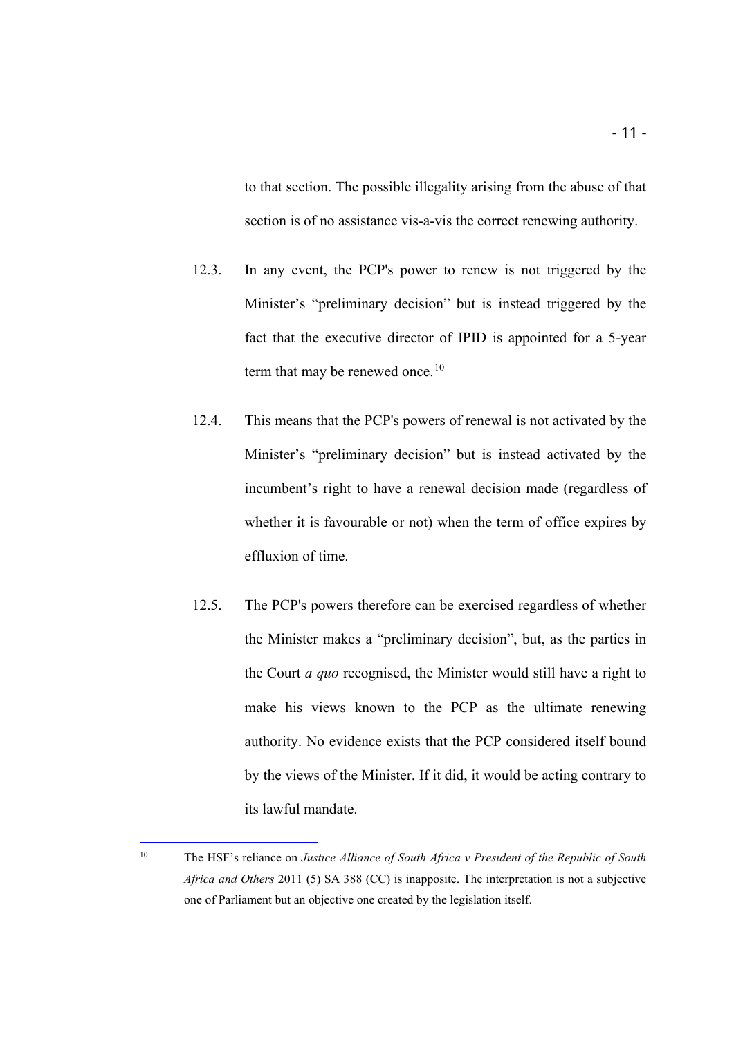to that section. The possible illegality arising from the abuse of that section is of no assistance vis-a-vis the correct renewing authority.

- 12.3. In any event, the PCP's power to renew is not triggered by the Minister's "preliminary decision" but is instead triggered by the fact that the executive director of IPID is appointed for a 5-year term that may be renewed once.<sup>[10](#page-10-0)</sup>
- 12.4. This means that the PCP's powers of renewal is not activated by the Minister's "preliminary decision" but is instead activated by the incumbent's right to have a renewal decision made (regardless of whether it is favourable or not) when the term of office expires by effluxion of time.
- 12.5. The PCP's powers therefore can be exercised regardless of whether the Minister makes a "preliminary decision", but, as the parties in the Court *a quo* recognised, the Minister would still have a right to make his views known to the PCP as the ultimate renewing authority. No evidence exists that the PCP considered itself bound by the views of the Minister. If it did, it would be acting contrary to its lawful mandate.

<span id="page-10-0"></span><sup>10</sup> The HSF's reliance on *Justice Alliance of South Africa v President of the Republic of South Africa and Others* 2011 (5) SA 388 (CC) is inapposite. The interpretation is not a subjective one of Parliament but an objective one created by the legislation itself.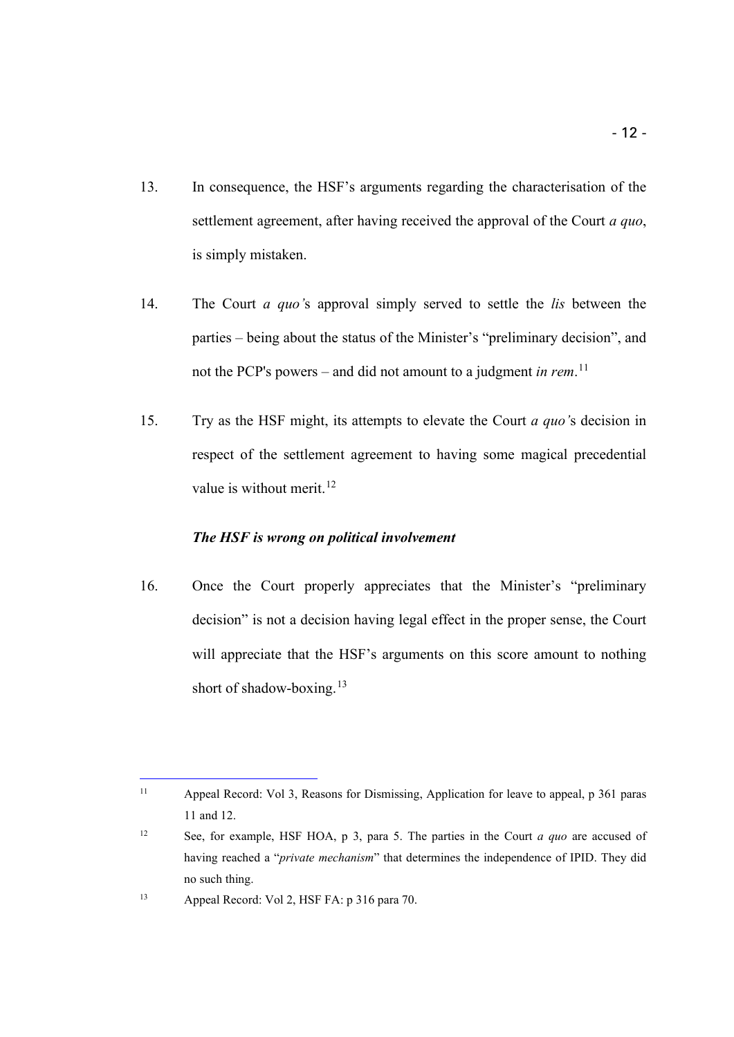- 13. In consequence, the HSF's arguments regarding the characterisation of the settlement agreement, after having received the approval of the Court *a quo*, is simply mistaken.
- 14. The Court *a quo'*s approval simply served to settle the *lis* between the parties – being about the status of the Minister's "preliminary decision", and not the PCP's powers – and did not amount to a judgment *in rem*. [11](#page-11-1)
- 15. Try as the HSF might, its attempts to elevate the Court *a quo'*s decision in respect of the settlement agreement to having some magical precedential value is without merit. $12$

## <span id="page-11-0"></span>*The HSF is wrong on political involvement*

i,

16. Once the Court properly appreciates that the Minister's "preliminary decision" is not a decision having legal effect in the proper sense, the Court will appreciate that the HSF's arguments on this score amount to nothing short of shadow-boxing.<sup>[13](#page-11-3)</sup>

<span id="page-11-1"></span><sup>11</sup> Appeal Record: Vol 3, Reasons for Dismissing, Application for leave to appeal, p 361 paras 11 and 12.

<span id="page-11-2"></span><sup>12</sup> See, for example, HSF HOA, p 3, para 5. The parties in the Court *a quo* are accused of having reached a "*private mechanism*" that determines the independence of IPID. They did no such thing.

<span id="page-11-3"></span><sup>13</sup> Appeal Record: Vol 2, HSF FA: p 316 para 70.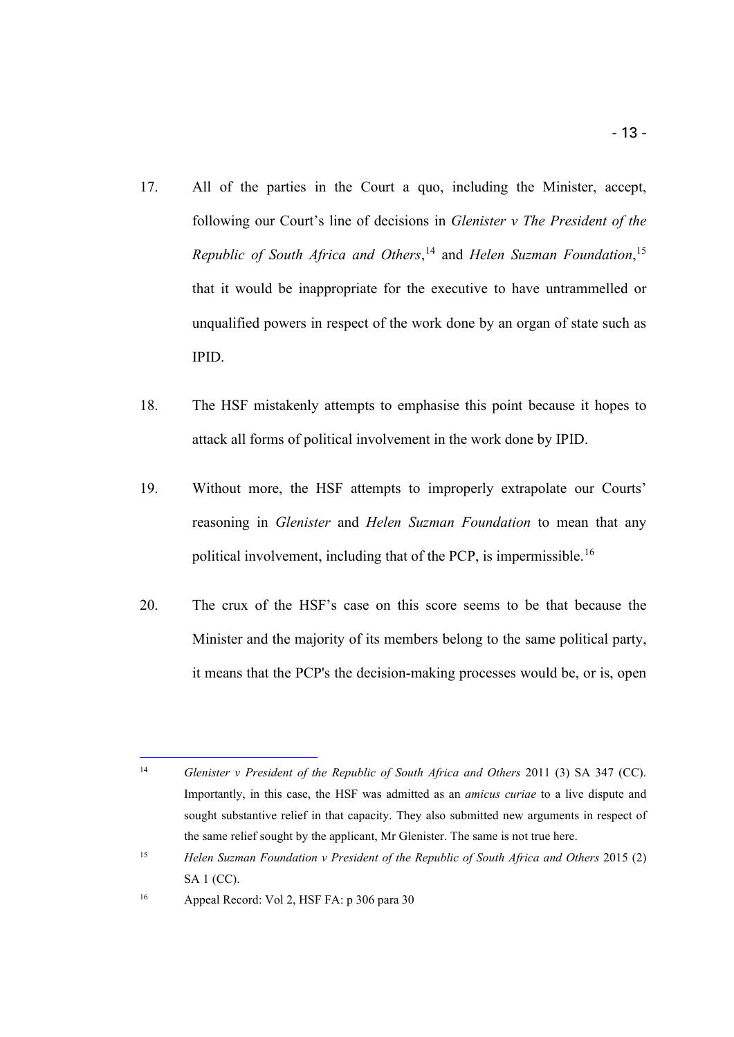- 17. All of the parties in the Court a quo, including the Minister, accept, following our Court's line of decisions in *Glenister v The President of the Republic of South Africa and Others*, [14](#page-12-0) and *Helen Suzman Foundation*, [15](#page-12-1) that it would be inappropriate for the executive to have untrammelled or unqualified powers in respect of the work done by an organ of state such as IPID.
- 18. The HSF mistakenly attempts to emphasise this point because it hopes to attack all forms of political involvement in the work done by IPID.
- 19. Without more, the HSF attempts to improperly extrapolate our Courts' reasoning in *Glenister* and *Helen Suzman Foundation* to mean that any political involvement, including that of the PCP, is impermissible.[16](#page-12-2)
- 20. The crux of the HSF's case on this score seems to be that because the Minister and the majority of its members belong to the same political party, it means that the PCP's the decision-making processes would be, or is, open

<span id="page-12-0"></span><sup>&</sup>lt;sup>14</sup> *Glenister v President of the Republic of South Africa and Others* 2011 (3) SA 347 (CC). Importantly, in this case, the HSF was admitted as an *amicus curiae* to a live dispute and sought substantive relief in that capacity. They also submitted new arguments in respect of the same relief sought by the applicant, Mr Glenister. The same is not true here.

<span id="page-12-1"></span><sup>15</sup> *Helen Suzman Foundation v President of the Republic of South Africa and Others* 2015 (2) SA 1 (CC).

<span id="page-12-2"></span><sup>16</sup> Appeal Record: Vol 2, HSF FA: p 306 para 30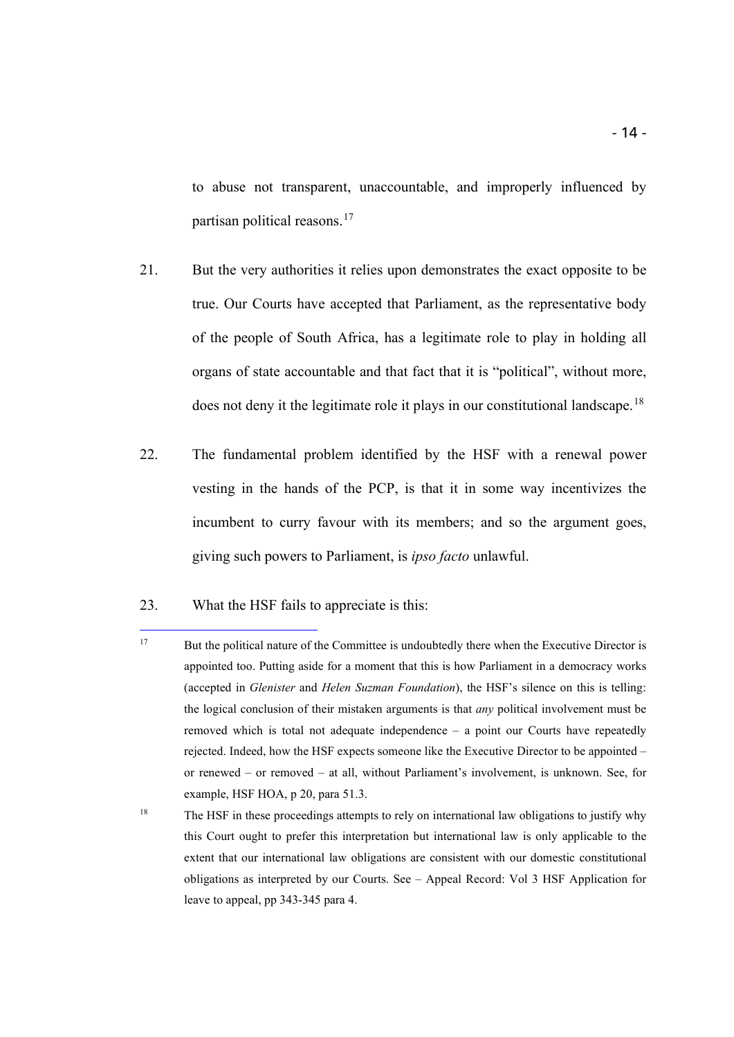to abuse not transparent, unaccountable, and improperly influenced by partisan political reasons. [17](#page-13-0)

- 21. But the very authorities it relies upon demonstrates the exact opposite to be true. Our Courts have accepted that Parliament, as the representative body of the people of South Africa, has a legitimate role to play in holding all organs of state accountable and that fact that it is "political", without more, does not deny it the legitimate role it plays in our constitutional landscape.<sup>[18](#page-13-1)</sup>
- 22. The fundamental problem identified by the HSF with a renewal power vesting in the hands of the PCP, is that it in some way incentivizes the incumbent to curry favour with its members; and so the argument goes, giving such powers to Parliament, is *ipso facto* unlawful.
- 23. What the HSF fails to appreciate is this:

i,

<span id="page-13-1"></span><sup>18</sup> The HSF in these proceedings attempts to rely on international law obligations to justify why this Court ought to prefer this interpretation but international law is only applicable to the extent that our international law obligations are consistent with our domestic constitutional obligations as interpreted by our Courts. See – Appeal Record: Vol 3 HSF Application for leave to appeal, pp 343-345 para 4.

<span id="page-13-0"></span><sup>&</sup>lt;sup>17</sup> But the political nature of the Committee is undoubtedly there when the Executive Director is appointed too. Putting aside for a moment that this is how Parliament in a democracy works (accepted in *Glenister* and *Helen Suzman Foundation*), the HSF's silence on this is telling: the logical conclusion of their mistaken arguments is that *any* political involvement must be removed which is total not adequate independence – a point our Courts have repeatedly rejected. Indeed, how the HSF expects someone like the Executive Director to be appointed – or renewed – or removed – at all, without Parliament's involvement, is unknown. See, for example, HSF HOA, p 20, para 51.3.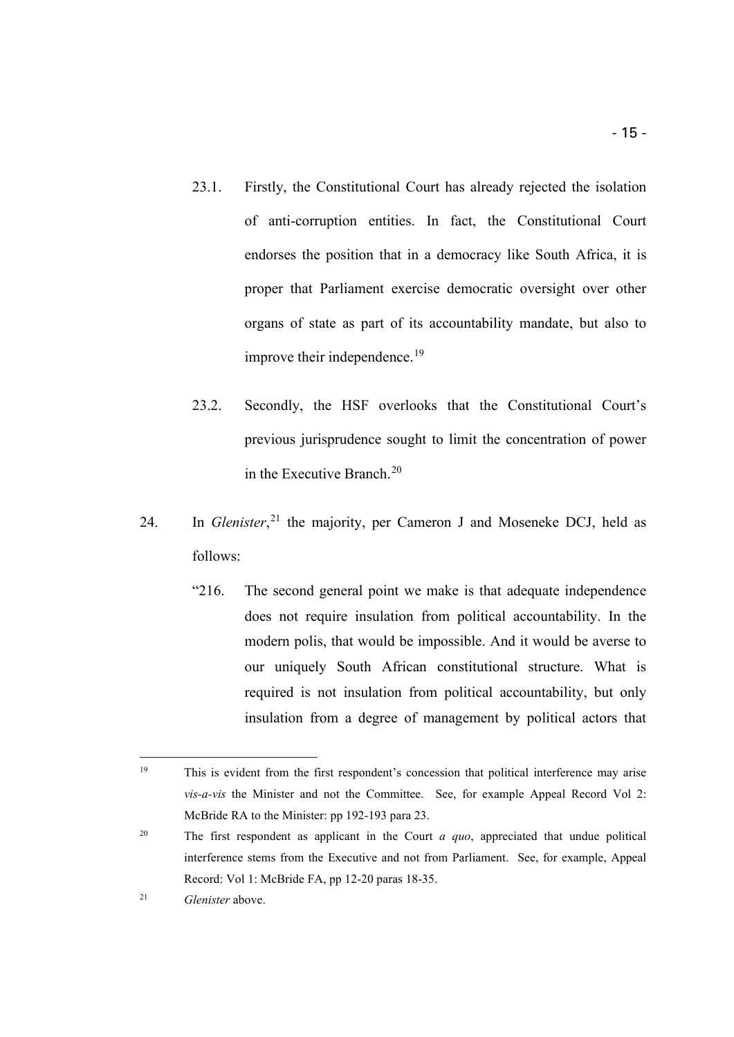- 23.1. Firstly, the Constitutional Court has already rejected the isolation of anti-corruption entities. In fact, the Constitutional Court endorses the position that in a democracy like South Africa, it is proper that Parliament exercise democratic oversight over other organs of state as part of its accountability mandate, but also to improve their independence.<sup>[19](#page-14-0)</sup>
- 23.2. Secondly, the HSF overlooks that the Constitutional Court's previous jurisprudence sought to limit the concentration of power in the Executive Branch. [20](#page-14-1)
- 24. In *Glenister*<sup>[21](#page-14-2)</sup>, the majority, per Cameron J and Moseneke DCJ, held as follows:
	- "216. The second general point we make is that adequate independence does not require insulation from political accountability. In the modern polis, that would be impossible. And it would be averse to our uniquely South African constitutional structure. What is required is not insulation from political accountability, but only insulation from a degree of management by political actors that

i,

<span id="page-14-2"></span><sup>21</sup> *Glenister* above.

<span id="page-14-0"></span><sup>&</sup>lt;sup>19</sup> This is evident from the first respondent's concession that political interference may arise *vis-a-vis* the Minister and not the Committee. See, for example Appeal Record Vol 2: McBride RA to the Minister: pp 192-193 para 23.

<span id="page-14-1"></span><sup>20</sup> The first respondent as applicant in the Court *a quo*, appreciated that undue political interference stems from the Executive and not from Parliament. See, for example, Appeal Record: Vol 1: McBride FA, pp 12-20 paras 18-35.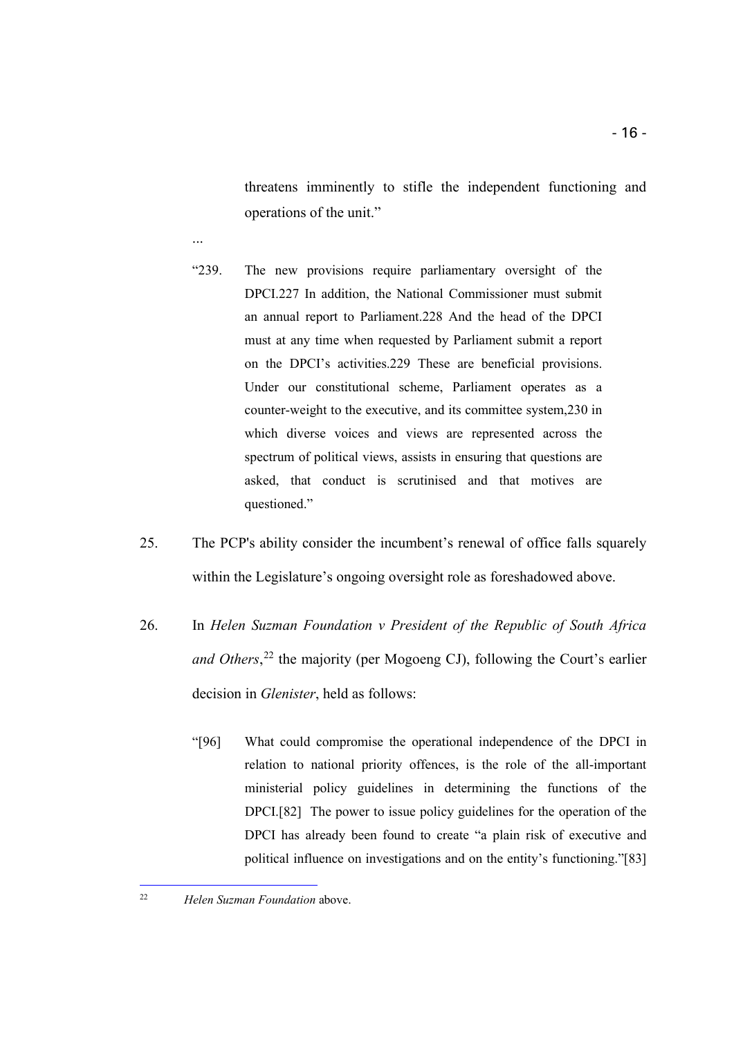threatens imminently to stifle the independent functioning and operations of the unit."

- "239. The new provisions require parliamentary oversight of the DPCI.227 In addition, the National Commissioner must submit an annual report to Parliament.228 And the head of the DPCI must at any time when requested by Parliament submit a report on the DPCI's activities.229 These are beneficial provisions. Under our constitutional scheme, Parliament operates as a counter-weight to the executive, and its committee system,230 in which diverse voices and views are represented across the spectrum of political views, assists in ensuring that questions are asked, that conduct is scrutinised and that motives are questioned."
- 25. The PCP's ability consider the incumbent's renewal of office falls squarely within the Legislature's ongoing oversight role as foreshadowed above.
- 26. In *Helen Suzman Foundation v President of the Republic of South Africa and Others*, [22](#page-15-0) the majority (per Mogoeng CJ), following the Court's earlier decision in *Glenister*, held as follows:
	- "[96] What could compromise the operational independence of the DPCI in relation to national priority offences, is the role of the all-important ministerial policy guidelines in determining the functions of the DPCI.[82] The power to issue policy guidelines for the operation of the DPCI has already been found to create "a plain risk of executive and political influence on investigations and on the entity's functioning."[83]

i,

...

<span id="page-15-0"></span><sup>22</sup> *Helen Suzman Foundation* above.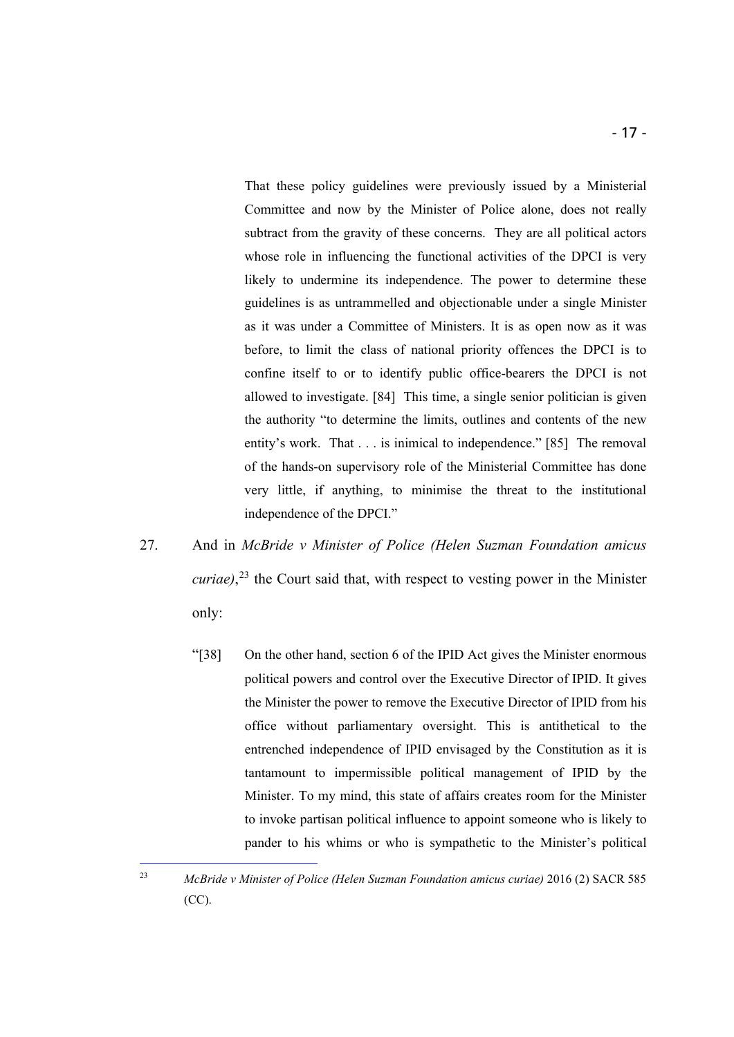That these policy guidelines were previously issued by a Ministerial Committee and now by the Minister of Police alone, does not really subtract from the gravity of these concerns. They are all political actors whose role in influencing the functional activities of the DPCI is very likely to undermine its independence. The power to determine these

guidelines is as untrammelled and objectionable under a single Minister as it was under a Committee of Ministers. It is as open now as it was before, to limit the class of national priority offences the DPCI is to confine itself to or to identify public office-bearers the DPCI is not allowed to investigate. [84] This time, a single senior politician is given the authority "to determine the limits, outlines and contents of the new entity's work. That . . . is inimical to independence." [85] The removal of the hands-on supervisory role of the Ministerial Committee has done very little, if anything, to minimise the threat to the institutional independence of the DPCI."

- 27. And in *McBride v Minister of Police (Helen Suzman Foundation amicus curiae)*, [23](#page-16-0) the Court said that, with respect to vesting power in the Minister only:
	- "[38] On the other hand, section 6 of the IPID Act gives the Minister enormous political powers and control over the Executive Director of IPID. It gives the Minister the power to remove the Executive Director of IPID from his office without parliamentary oversight. This is antithetical to the entrenched independence of IPID envisaged by the Constitution as it is tantamount to impermissible political management of IPID by the Minister. To my mind, this state of affairs creates room for the Minister to invoke partisan political influence to appoint someone who is likely to pander to his whims or who is sympathetic to the Minister's political

<span id="page-16-0"></span><sup>23</sup> *McBride v Minister of Police (Helen Suzman Foundation amicus curiae)* 2016 (2) SACR 585 (CC).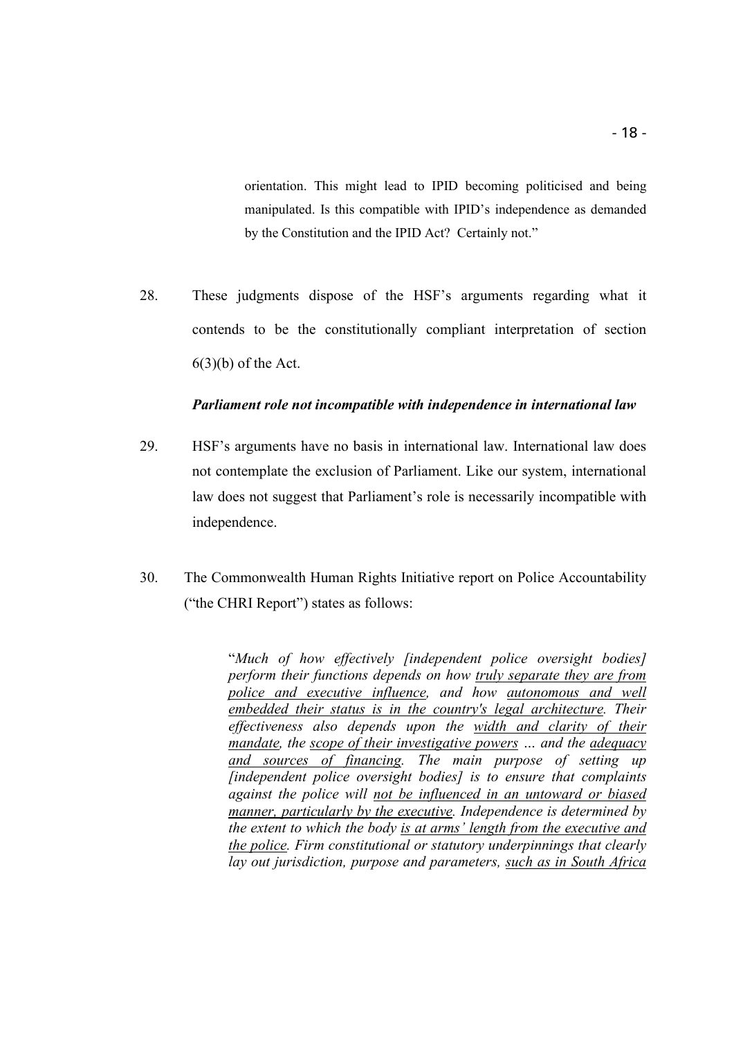orientation. This might lead to IPID becoming politicised and being manipulated. Is this compatible with IPID's independence as demanded by the Constitution and the IPID Act? Certainly not."

28. These judgments dispose of the HSF's arguments regarding what it contends to be the constitutionally compliant interpretation of section  $6(3)(b)$  of the Act.

#### *Parliament role not incompatible with independence in international law*

- 29. HSF's arguments have no basis in international law. International law does not contemplate the exclusion of Parliament. Like our system, international law does not suggest that Parliament's role is necessarily incompatible with independence.
- 30. The Commonwealth Human Rights Initiative report on Police Accountability ("the CHRI Report") states as follows:

"*Much of how effectively [independent police oversight bodies] perform their functions depends on how truly separate they are from police and executive influence, and how autonomous and well embedded their status is in the country's legal architecture. Their effectiveness also depends upon the width and clarity of their mandate, the scope of their investigative powers … and the adequacy and sources of financing. The main purpose of setting up [independent police oversight bodies] is to ensure that complaints against the police will not be influenced in an untoward or biased manner, particularly by the executive. Independence is determined by the extent to which the body is at arms' length from the executive and the police. Firm constitutional or statutory underpinnings that clearly lay out jurisdiction, purpose and parameters, such as in South Africa*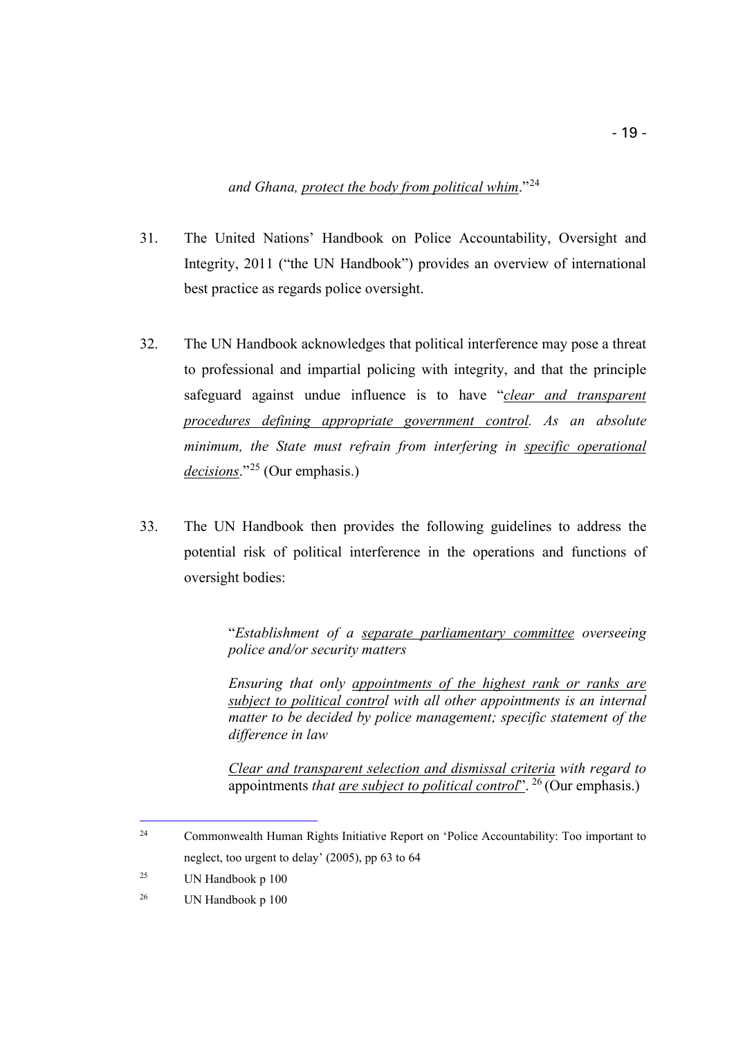*and Ghana, protect the body from political whim*."[24](#page-18-0)

- 31. The United Nations' Handbook on Police Accountability, Oversight and Integrity, 2011 ("the UN Handbook") provides an overview of international best practice as regards police oversight.
- 32. The UN Handbook acknowledges that political interference may pose a threat to professional and impartial policing with integrity, and that the principle safeguard against undue influence is to have "*clear and transparent procedures defining appropriate government control. As an absolute minimum, the State must refrain from interfering in specific operational decisions*."[25](#page-18-1) (Our emphasis.)
- 33. The UN Handbook then provides the following guidelines to address the potential risk of political interference in the operations and functions of oversight bodies:

"*Establishment of a separate parliamentary committee overseeing police and/or security matters*

*Ensuring that only appointments of the highest rank or ranks are subject to political control with all other appointments is an internal matter to be decided by police management; specific statement of the difference in law*

*Clear and transparent selection and dismissal criteria with regard to*  appointments *that are subject to political control*". [26](#page-18-2) (Our emphasis.)

<span id="page-18-0"></span><sup>&</sup>lt;sup>24</sup> Commonwealth Human Rights Initiative Report on 'Police Accountability: Too important to neglect, too urgent to delay' (2005), pp 63 to 64

<span id="page-18-1"></span><sup>25</sup> UN Handbook p 100

<span id="page-18-2"></span><sup>26</sup> UN Handbook p 100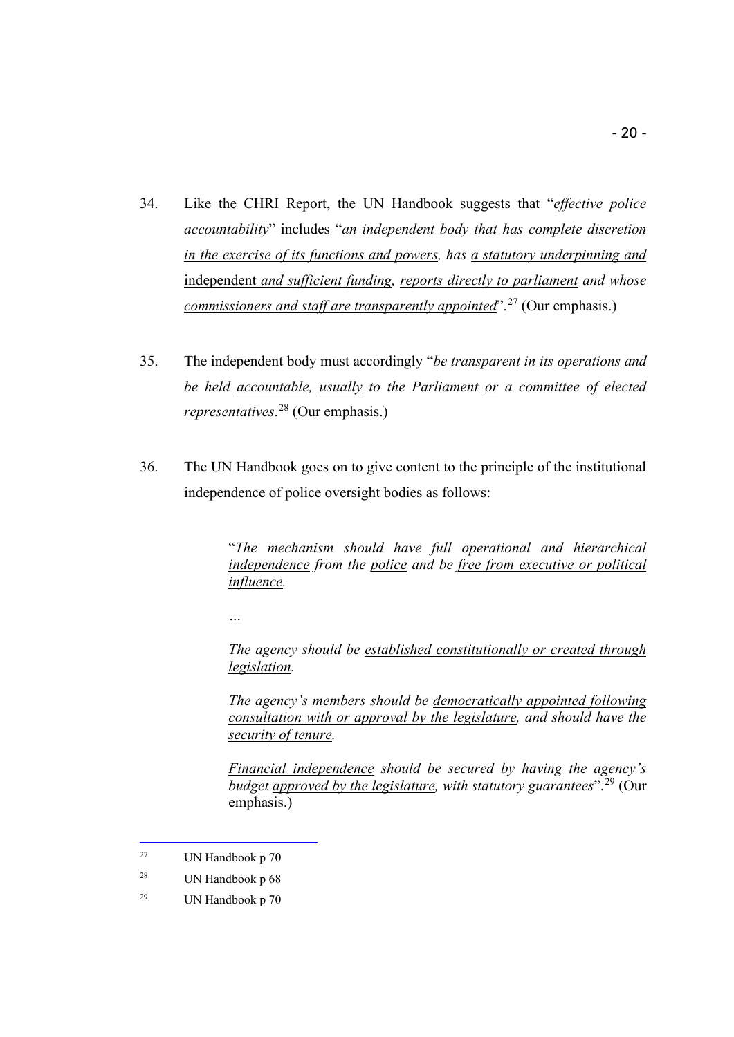- 34. Like the CHRI Report, the UN Handbook suggests that "*effective police accountability*" includes "*an independent body that has complete discretion in the exercise of its functions and powers, has a statutory underpinning and*  independent *and sufficient funding, reports directly to parliament and whose commissioners and staff are transparently appointed*".[27](#page-19-0) (Our emphasis.)
- 35. The independent body must accordingly "*be transparent in its operations and be held accountable, usually to the Parliament or a committee of elected representatives*. [28](#page-19-1) (Our emphasis.)
- 36. The UN Handbook goes on to give content to the principle of the institutional independence of police oversight bodies as follows:

"*The mechanism should have full operational and hierarchical independence from the police and be free from executive or political influence.* 

*…*

*The agency should be established constitutionally or created through legislation.*

*The agency's members should be democratically appointed following consultation with or approval by the legislature, and should have the security of tenure.*

*Financial independence should be secured by having the agency's budget approved by the legislature, with statutory guarantees*". [29](#page-19-2) (Our emphasis.)

<span id="page-19-0"></span><sup>27</sup> UN Handbook p 70

<span id="page-19-1"></span><sup>28</sup> UN Handbook p 68

<span id="page-19-2"></span><sup>29</sup> UN Handbook p 70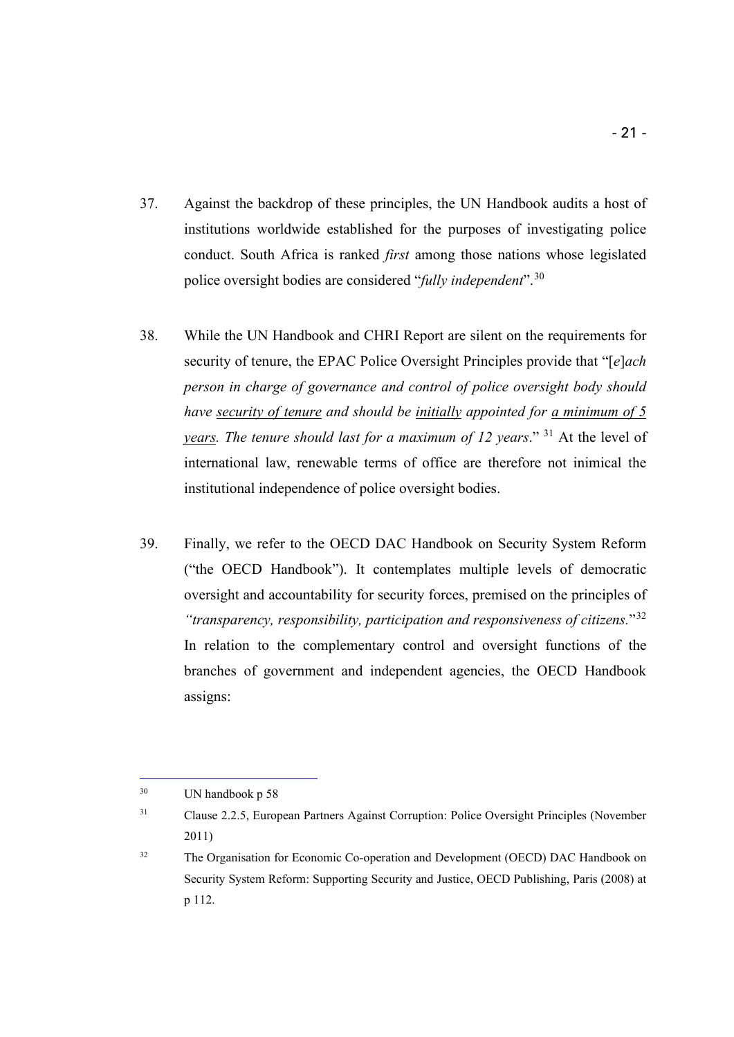- 37. Against the backdrop of these principles, the UN Handbook audits a host of institutions worldwide established for the purposes of investigating police conduct. South Africa is ranked *first* among those nations whose legislated police oversight bodies are considered "*fully independent*".[30](#page-20-0)
- 38. While the UN Handbook and CHRI Report are silent on the requirements for security of tenure, the EPAC Police Oversight Principles provide that "[*e*]*ach person in charge of governance and control of police oversight body should have security of tenure and should be initially appointed for a minimum of 5 years. The tenure should last for a maximum of 12 years*." [31](#page-20-1) At the level of international law, renewable terms of office are therefore not inimical the institutional independence of police oversight bodies.
- 39. Finally, we refer to the OECD DAC Handbook on Security System Reform ("the OECD Handbook"). It contemplates multiple levels of democratic oversight and accountability for security forces, premised on the principles of *"transparency, responsibility, participation and responsiveness of citizens.*"[32](#page-20-2) In relation to the complementary control and oversight functions of the branches of government and independent agencies, the OECD Handbook assigns:

<span id="page-20-0"></span><sup>30</sup> UN handbook p 58

<span id="page-20-1"></span><sup>&</sup>lt;sup>31</sup> Clause 2.2.5, European Partners Against Corruption: Police Oversight Principles (November 2011)

<span id="page-20-2"></span><sup>&</sup>lt;sup>32</sup> The Organisation for Economic Co-operation and Development (OECD) DAC Handbook on Security System Reform: Supporting Security and Justice, OECD Publishing, Paris (2008) at p 112.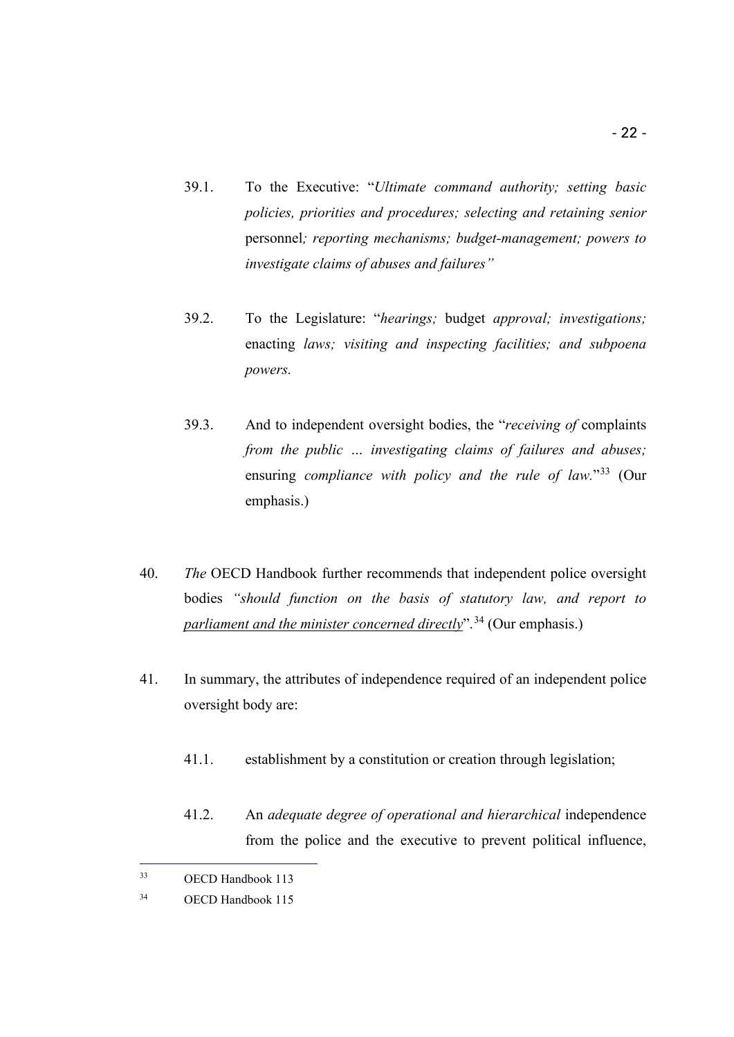- 39.1. To the Executive: "*Ultimate command authority; setting basic policies, priorities and procedures; selecting and retaining senior* personnel*; reporting mechanisms; budget-management; powers to investigate claims of abuses and failures"*
- 39.2. To the Legislature: "*hearings;* budget *approval; investigations;*  enacting *laws; visiting and inspecting facilities; and subpoena powers.*
- 39.3. And to independent oversight bodies, the "*receiving of* complaints *from the public … investigating claims of failures and abuses;*  ensuring *compliance with policy and the rule of law.*"[33](#page-21-0) (Our emphasis.)
- 40. *The* OECD Handbook further recommends that independent police oversight bodies *"should function on the basis of statutory law, and report to parliament and the minister concerned directly*".[34](#page-21-1) (Our emphasis.)
- 41. In summary, the attributes of independence required of an independent police oversight body are:
	- 41.1. establishment by a constitution or creation through legislation;

i,

41.2. An *adequate degree of operational and hierarchical* independence from the police and the executive to prevent political influence,

<span id="page-21-0"></span><sup>33</sup> OECD Handbook 113

<span id="page-21-1"></span><sup>34</sup> OECD Handbook 115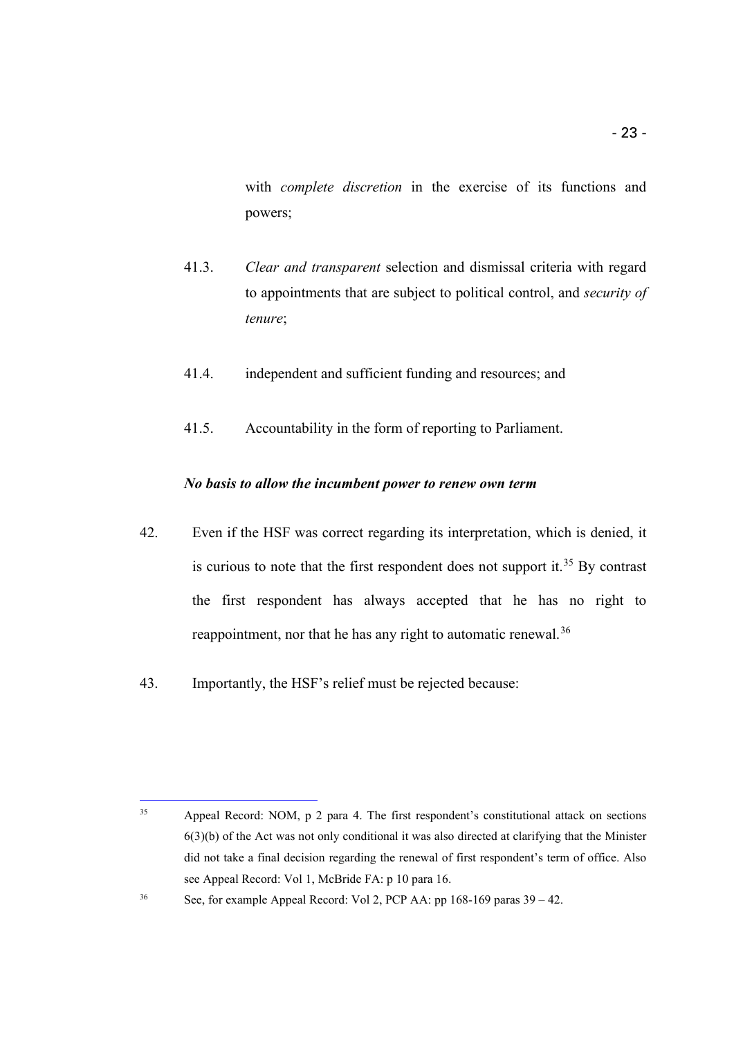with *complete discretion* in the exercise of its functions and powers;

- 41.3. *Clear and transparent* selection and dismissal criteria with regard to appointments that are subject to political control, and *security of tenure*;
- 41.4. independent and sufficient funding and resources; and
- 41.5. Accountability in the form of reporting to Parliament.

#### *No basis to allow the incumbent power to renew own term*

- 42. Even if the HSF was correct regarding its interpretation, which is denied, it is curious to note that the first respondent does not support it.<sup>[35](#page-22-0)</sup> By contrast the first respondent has always accepted that he has no right to reappointment, nor that he has any right to automatic renewal.<sup>[36](#page-22-1)</sup>
- 43. Importantly, the HSF's relief must be rejected because:

<span id="page-22-0"></span>i, <sup>35</sup> Appeal Record: NOM, p 2 para 4. The first respondent's constitutional attack on sections 6(3)(b) of the Act was not only conditional it was also directed at clarifying that the Minister did not take a final decision regarding the renewal of first respondent's term of office. Also see Appeal Record: Vol 1, McBride FA: p 10 para 16.

<span id="page-22-1"></span><sup>&</sup>lt;sup>36</sup> See, for example Appeal Record: Vol 2, PCP AA: pp 168-169 paras  $39-42$ .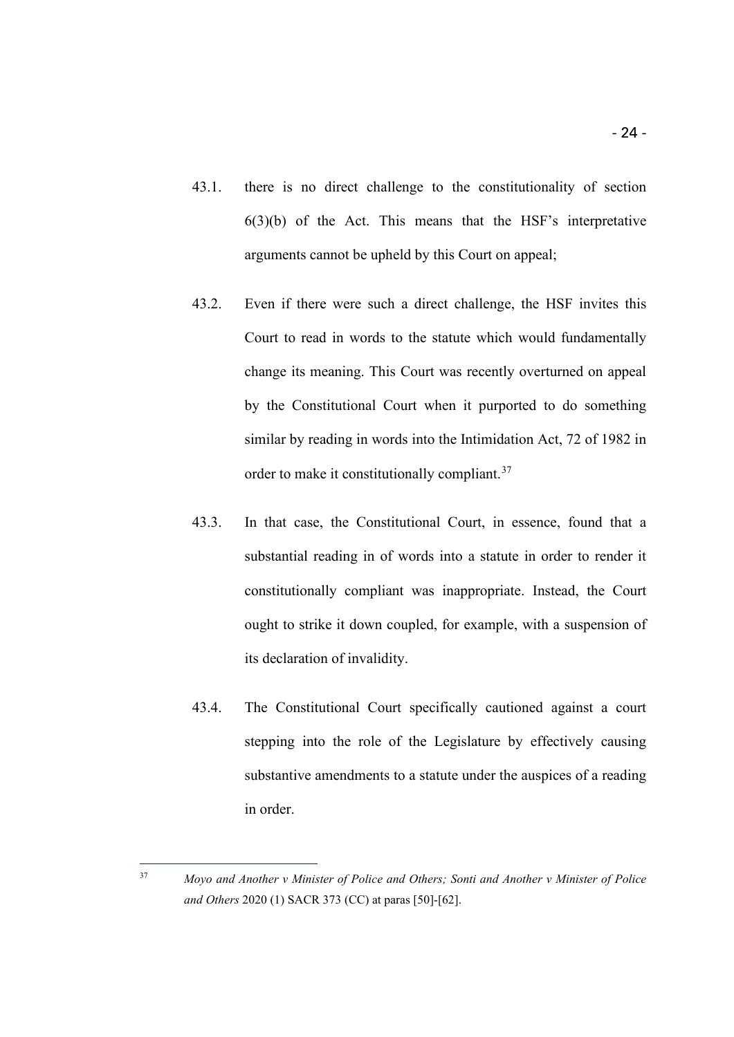- 43.1. there is no direct challenge to the constitutionality of section 6(3)(b) of the Act. This means that the HSF's interpretative arguments cannot be upheld by this Court on appeal;
- 43.2. Even if there were such a direct challenge, the HSF invites this Court to read in words to the statute which would fundamentally change its meaning. This Court was recently overturned on appeal by the Constitutional Court when it purported to do something similar by reading in words into the Intimidation Act, 72 of 1982 in order to make it constitutionally compliant.<sup>[37](#page-23-0)</sup>
- 43.3. In that case, the Constitutional Court, in essence, found that a substantial reading in of words into a statute in order to render it constitutionally compliant was inappropriate. Instead, the Court ought to strike it down coupled, for example, with a suspension of its declaration of invalidity.
- 43.4. The Constitutional Court specifically cautioned against a court stepping into the role of the Legislature by effectively causing substantive amendments to a statute under the auspices of a reading in order.

<span id="page-23-0"></span><sup>37</sup> *Moyo and Another v Minister of Police and Others; Sonti and Another v Minister of Police and Others* 2020 (1) SACR 373 (CC) at paras [50]-[62].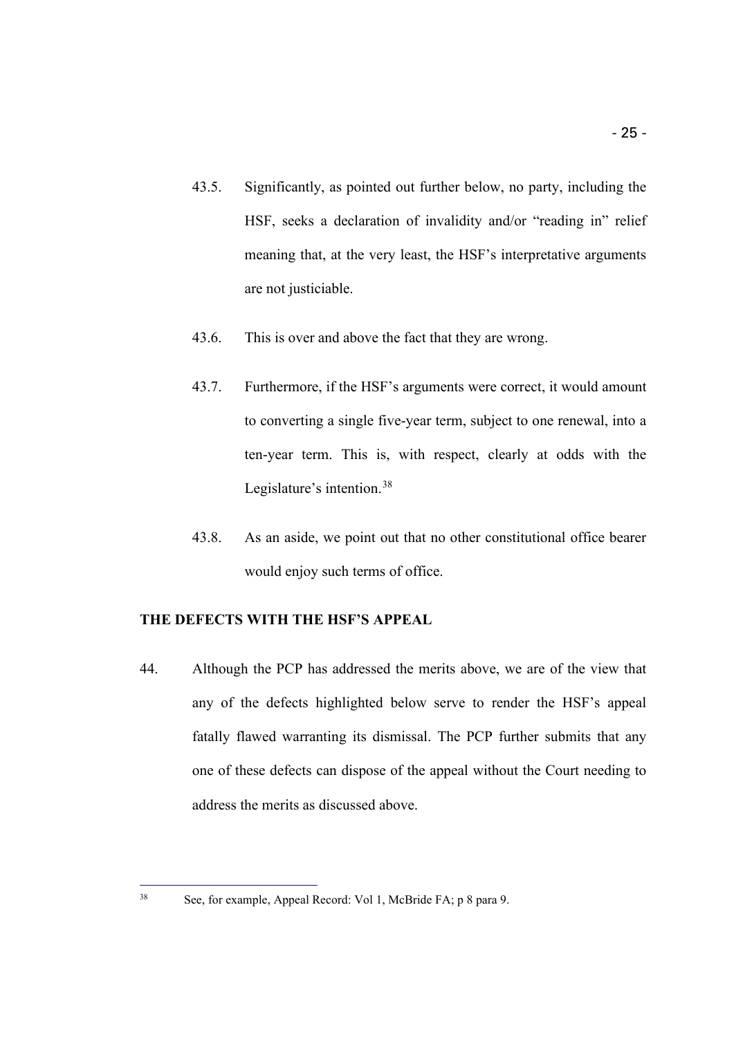- 43.5. Significantly, as pointed out further below, no party, including the HSF, seeks a declaration of invalidity and/or "reading in" relief meaning that, at the very least, the HSF's interpretative arguments are not justiciable.
- 43.6. This is over and above the fact that they are wrong.
- 43.7. Furthermore, if the HSF's arguments were correct, it would amount to converting a single five-year term, subject to one renewal, into a ten-year term. This is, with respect, clearly at odds with the Legislature's intention.<sup>[38](#page-24-1)</sup>
- 43.8. As an aside, we point out that no other constitutional office bearer would enjoy such terms of office.

## <span id="page-24-0"></span>**THE DEFECTS WITH THE HSF'S APPEAL**

44. Although the PCP has addressed the merits above, we are of the view that any of the defects highlighted below serve to render the HSF's appeal fatally flawed warranting its dismissal. The PCP further submits that any one of these defects can dispose of the appeal without the Court needing to address the merits as discussed above.

<span id="page-24-1"></span><sup>38</sup> See, for example, Appeal Record: Vol 1, McBride FA; p 8 para 9.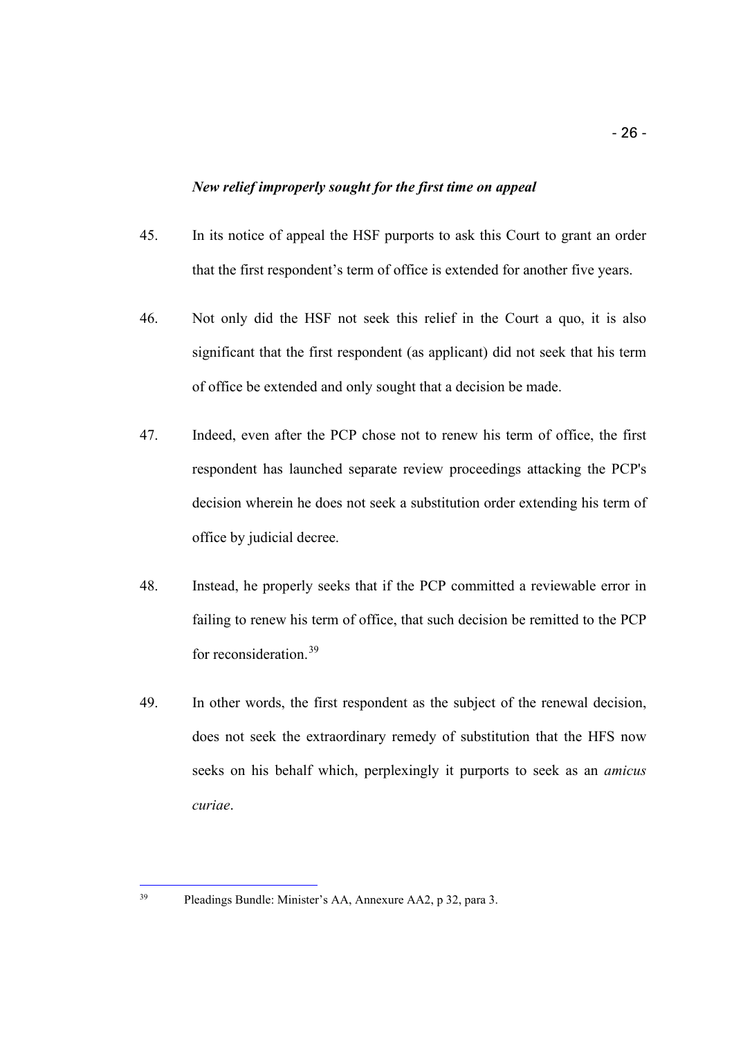## *New relief improperly sought for the first time on appeal*

- <span id="page-25-0"></span>45. In its notice of appeal the HSF purports to ask this Court to grant an order that the first respondent's term of office is extended for another five years.
- 46. Not only did the HSF not seek this relief in the Court a quo, it is also significant that the first respondent (as applicant) did not seek that his term of office be extended and only sought that a decision be made.
- 47. Indeed, even after the PCP chose not to renew his term of office, the first respondent has launched separate review proceedings attacking the PCP's decision wherein he does not seek a substitution order extending his term of office by judicial decree.
- 48. Instead, he properly seeks that if the PCP committed a reviewable error in failing to renew his term of office, that such decision be remitted to the PCP for reconsideration.[39](#page-25-1)
- 49. In other words, the first respondent as the subject of the renewal decision, does not seek the extraordinary remedy of substitution that the HFS now seeks on his behalf which, perplexingly it purports to seek as an *amicus curiae*.

<span id="page-25-1"></span>i, <sup>39</sup> Pleadings Bundle: Minister's AA, Annexure AA2, p 32, para 3.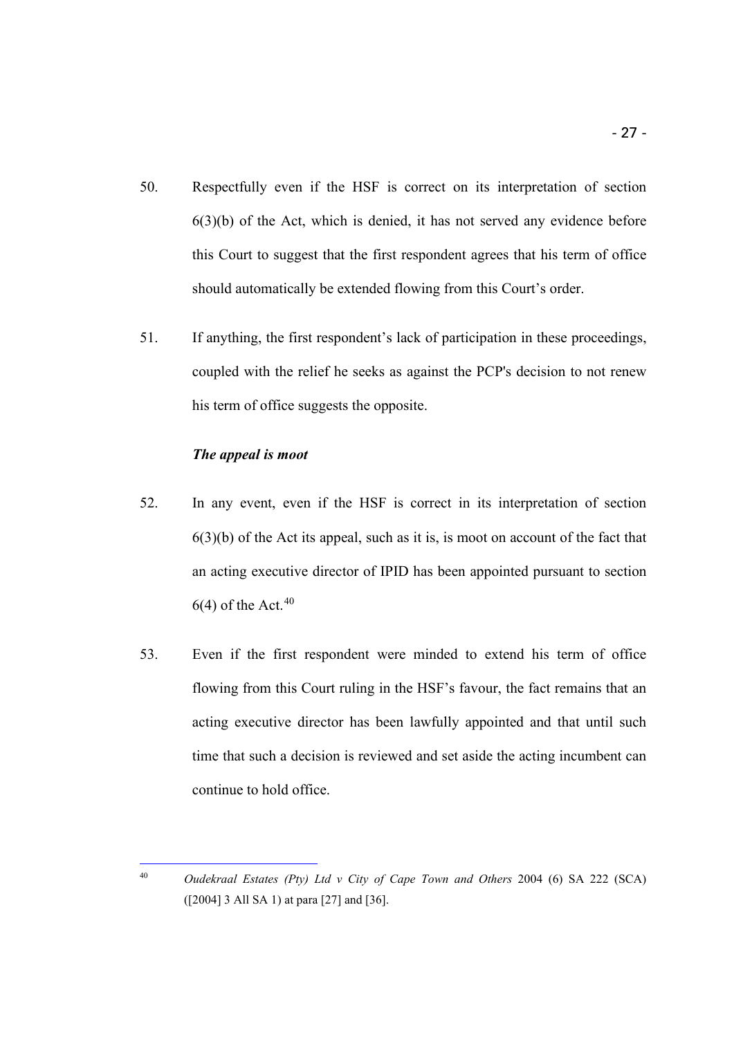- 50. Respectfully even if the HSF is correct on its interpretation of section 6(3)(b) of the Act, which is denied, it has not served any evidence before this Court to suggest that the first respondent agrees that his term of office should automatically be extended flowing from this Court's order.
- 51. If anything, the first respondent's lack of participation in these proceedings, coupled with the relief he seeks as against the PCP's decision to not renew his term of office suggests the opposite.

## *The appeal is moot*

- <span id="page-26-0"></span>52. In any event, even if the HSF is correct in its interpretation of section  $6(3)(b)$  of the Act its appeal, such as it is, is moot on account of the fact that an acting executive director of IPID has been appointed pursuant to section  $6(4)$  of the Act.<sup>[40](#page-26-1)</sup>
- 53. Even if the first respondent were minded to extend his term of office flowing from this Court ruling in the HSF's favour, the fact remains that an acting executive director has been lawfully appointed and that until such time that such a decision is reviewed and set aside the acting incumbent can continue to hold office.

<span id="page-26-1"></span>i, <sup>40</sup> *Oudekraal Estates (Pty) Ltd v City of Cape Town and Others* 2004 (6) SA 222 (SCA) ([2004] 3 All SA 1) at para [27] and [36].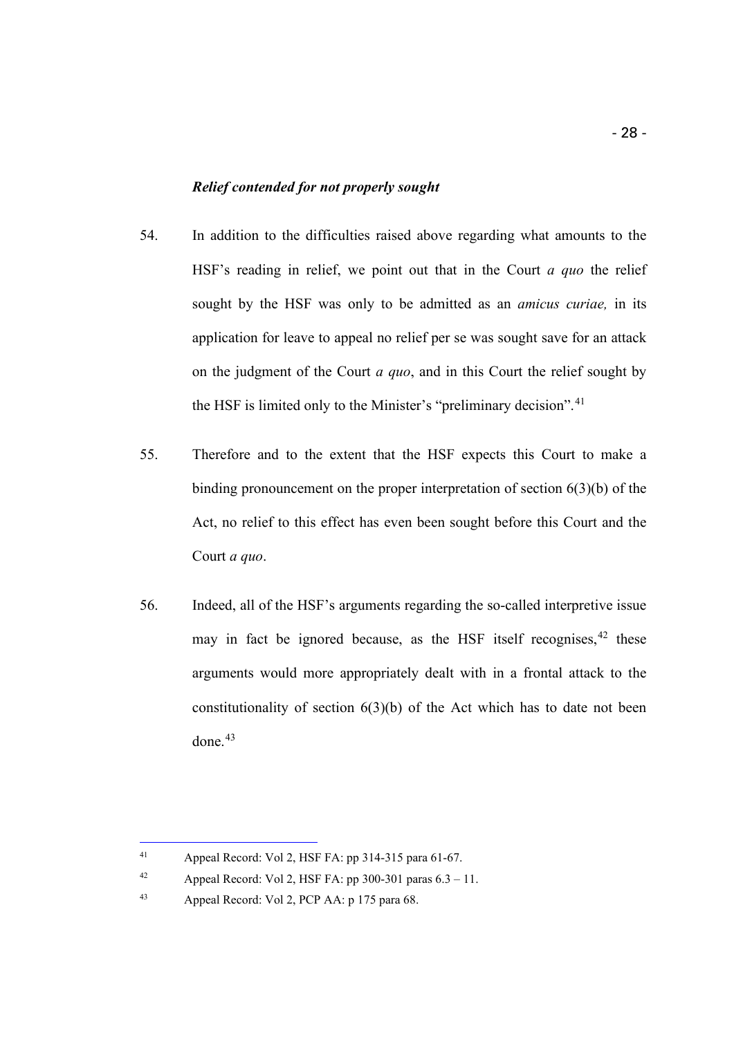## *Relief contended for not properly sought*

- <span id="page-27-0"></span>54. In addition to the difficulties raised above regarding what amounts to the HSF's reading in relief, we point out that in the Court *a quo* the relief sought by the HSF was only to be admitted as an *amicus curiae,* in its application for leave to appeal no relief per se was sought save for an attack on the judgment of the Court *a quo*, and in this Court the relief sought by the HSF is limited only to the Minister's "preliminary decision".<sup>[41](#page-27-1)</sup>
- 55. Therefore and to the extent that the HSF expects this Court to make a binding pronouncement on the proper interpretation of section 6(3)(b) of the Act, no relief to this effect has even been sought before this Court and the Court *a quo*.
- 56. Indeed, all of the HSF's arguments regarding the so-called interpretive issue may in fact be ignored because, as the HSF itself recognises,<sup>[42](#page-27-2)</sup> these arguments would more appropriately dealt with in a frontal attack to the constitutionality of section  $6(3)(b)$  of the Act which has to date not been done. $43$

<span id="page-27-1"></span><sup>41</sup> Appeal Record: Vol 2, HSF FA: pp 314-315 para 61-67.

<span id="page-27-2"></span><sup>&</sup>lt;sup>42</sup> Appeal Record: Vol 2, HSF FA: pp 300-301 paras  $6.3 - 11$ .

<span id="page-27-3"></span><sup>43</sup> Appeal Record: Vol 2, PCP AA: p 175 para 68.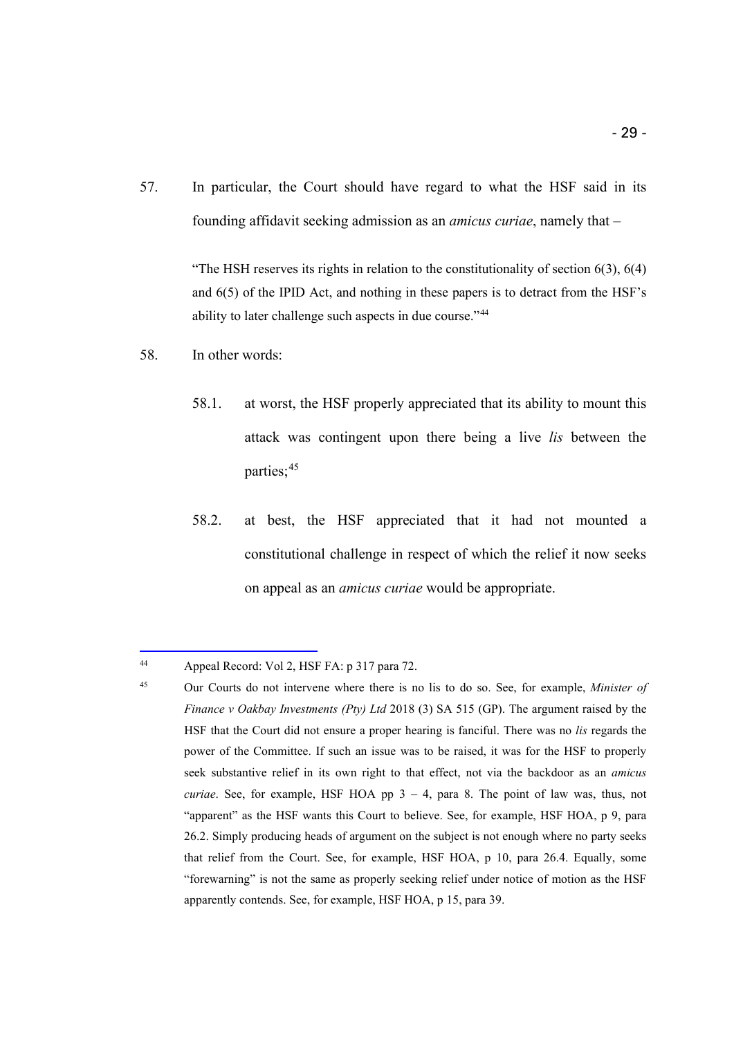57. In particular, the Court should have regard to what the HSF said in its founding affidavit seeking admission as an *amicus curiae*, namely that –

> "The HSH reserves its rights in relation to the constitutionality of section  $6(3)$ ,  $6(4)$ and 6(5) of the IPID Act, and nothing in these papers is to detract from the HSF's ability to later challenge such aspects in due course."[44](#page-28-0)

- 58. In other words:
	- 58.1. at worst, the HSF properly appreciated that its ability to mount this attack was contingent upon there being a live *lis* between the parties;<sup>[45](#page-28-1)</sup>
	- 58.2. at best, the HSF appreciated that it had not mounted a constitutional challenge in respect of which the relief it now seeks on appeal as an *amicus curiae* would be appropriate.

<span id="page-28-0"></span><sup>44</sup> Appeal Record: Vol 2, HSF FA: p 317 para 72.

<span id="page-28-1"></span><sup>45</sup> Our Courts do not intervene where there is no lis to do so. See, for example, *Minister of Finance v Oakbay Investments (Pty) Ltd* 2018 (3) SA 515 (GP). The argument raised by the HSF that the Court did not ensure a proper hearing is fanciful. There was no *lis* regards the power of the Committee. If such an issue was to be raised, it was for the HSF to properly seek substantive relief in its own right to that effect, not via the backdoor as an *amicus curiae*. See, for example, HSF HOA pp 3 – 4, para 8. The point of law was, thus, not "apparent" as the HSF wants this Court to believe. See, for example, HSF HOA, p 9, para 26.2. Simply producing heads of argument on the subject is not enough where no party seeks that relief from the Court. See, for example, HSF HOA, p 10, para 26.4. Equally, some "forewarning" is not the same as properly seeking relief under notice of motion as the HSF apparently contends. See, for example, HSF HOA, p 15, para 39.